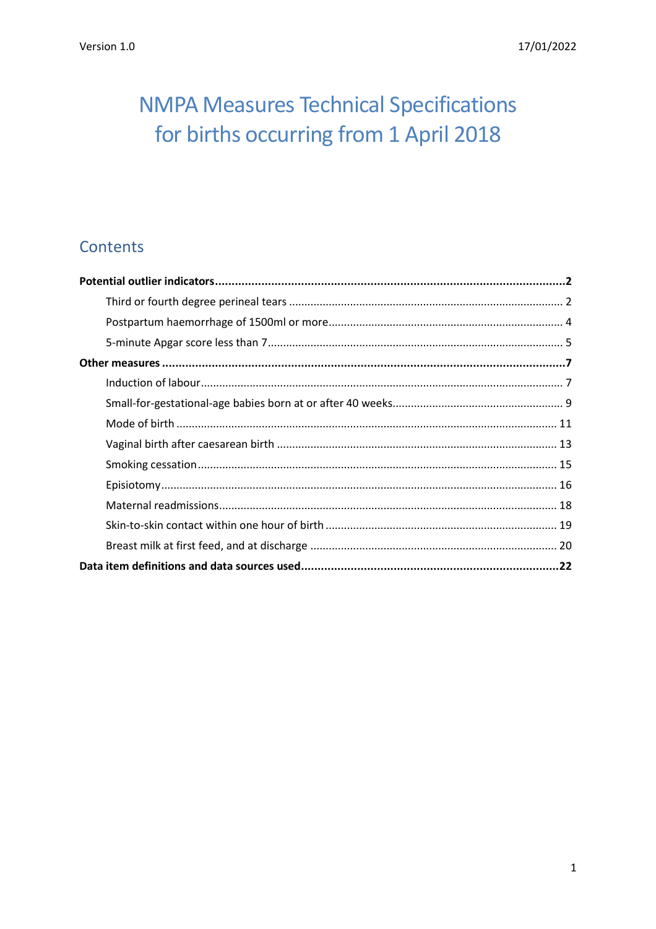# **NMPA Measures Technical Specifications** for births occurring from 1 April 2018

# Contents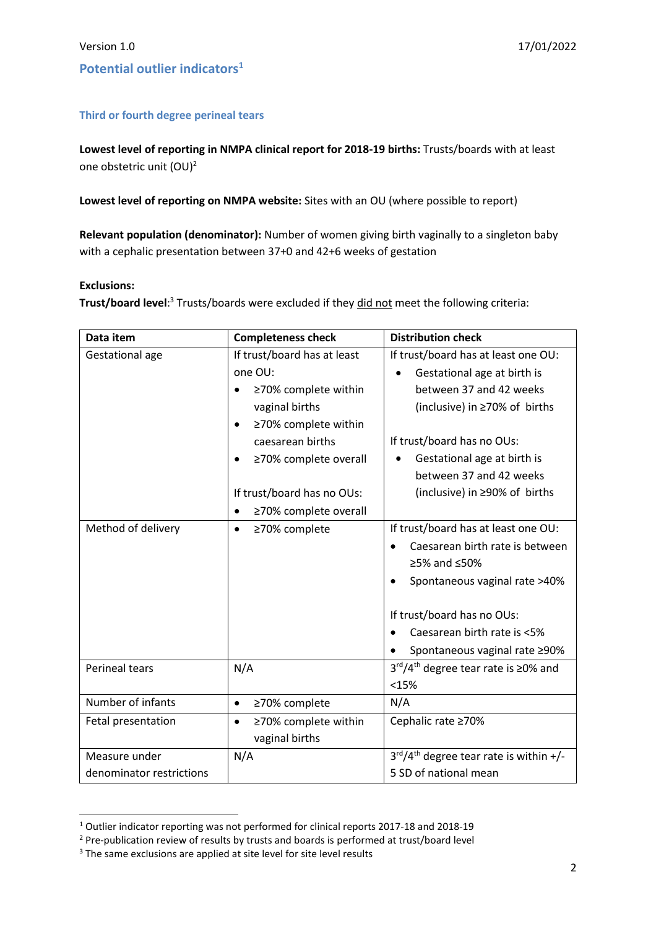### <span id="page-1-1"></span><span id="page-1-0"></span>**Third or fourth degree perineal tears**

**Lowest level of reporting in NMPA clinical report for 2018-19 births:** Trusts/boards with at least one obstetric unit (OU)<sup>2</sup>

**Lowest level of reporting on NMPA website:** Sites with an OU (where possible to report)

**Relevant population (denominator):** Number of women giving birth vaginally to a singleton baby with a cephalic presentation between 37+0 and 42+6 weeks of gestation

### **Exclusions:**

 $\overline{a}$ 

**Trust/board level**:<sup>3</sup> Trusts/boards were excluded if they <u>did not</u> meet the following criteria:

| Data item                | <b>Completeness check</b>         | <b>Distribution check</b>                                    |
|--------------------------|-----------------------------------|--------------------------------------------------------------|
| Gestational age          | If trust/board has at least       | If trust/board has at least one OU:                          |
|                          | one OU:                           | Gestational age at birth is                                  |
|                          | ≥70% complete within              | between 37 and 42 weeks                                      |
|                          | vaginal births                    | (inclusive) in ≥70% of births                                |
|                          | ≥70% complete within              |                                                              |
|                          | caesarean births                  | If trust/board has no OUs:                                   |
|                          | ≥70% complete overall             | Gestational age at birth is                                  |
|                          |                                   | between 37 and 42 weeks                                      |
|                          | If trust/board has no OUs:        | (inclusive) in ≥90% of births                                |
|                          | ≥70% complete overall             |                                                              |
| Method of delivery       | ≥70% complete<br>$\bullet$        | If trust/board has at least one OU:                          |
|                          |                                   | Caesarean birth rate is between                              |
|                          |                                   | ≥5% and ≤50%                                                 |
|                          |                                   | Spontaneous vaginal rate >40%                                |
|                          |                                   | If trust/board has no OUs:                                   |
|                          |                                   | Caesarean birth rate is <5%                                  |
|                          |                                   | Spontaneous vaginal rate ≥90%                                |
| <b>Perineal tears</b>    | N/A                               | 3 <sup>rd</sup> /4 <sup>th</sup> degree tear rate is ≥0% and |
|                          |                                   | <15%                                                         |
| Number of infants        | ≥70% complete<br>$\bullet$        | N/A                                                          |
| Fetal presentation       | ≥70% complete within<br>$\bullet$ | Cephalic rate ≥70%                                           |
|                          | vaginal births                    |                                                              |
| Measure under            | N/A                               | $3rd/4th$ degree tear rate is within +/-                     |
| denominator restrictions |                                   | 5 SD of national mean                                        |

<sup>1</sup> Outlier indicator reporting was not performed for clinical reports 2017-18 and 2018-19

<sup>&</sup>lt;sup>2</sup> Pre-publication review of results by trusts and boards is performed at trust/board level

<sup>&</sup>lt;sup>3</sup> The same exclusions are applied at site level for site level results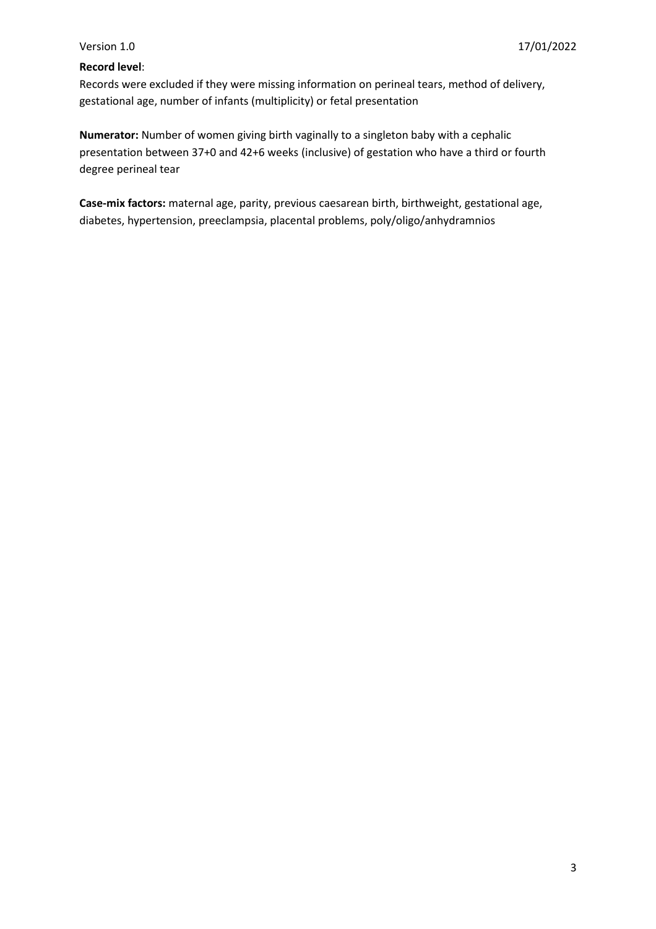### **Record level**:

Records were excluded if they were missing information on perineal tears, method of delivery, gestational age, number of infants (multiplicity) or fetal presentation

**Numerator:** Number of women giving birth vaginally to a singleton baby with a cephalic presentation between 37+0 and 42+6 weeks (inclusive) of gestation who have a third or fourth degree perineal tear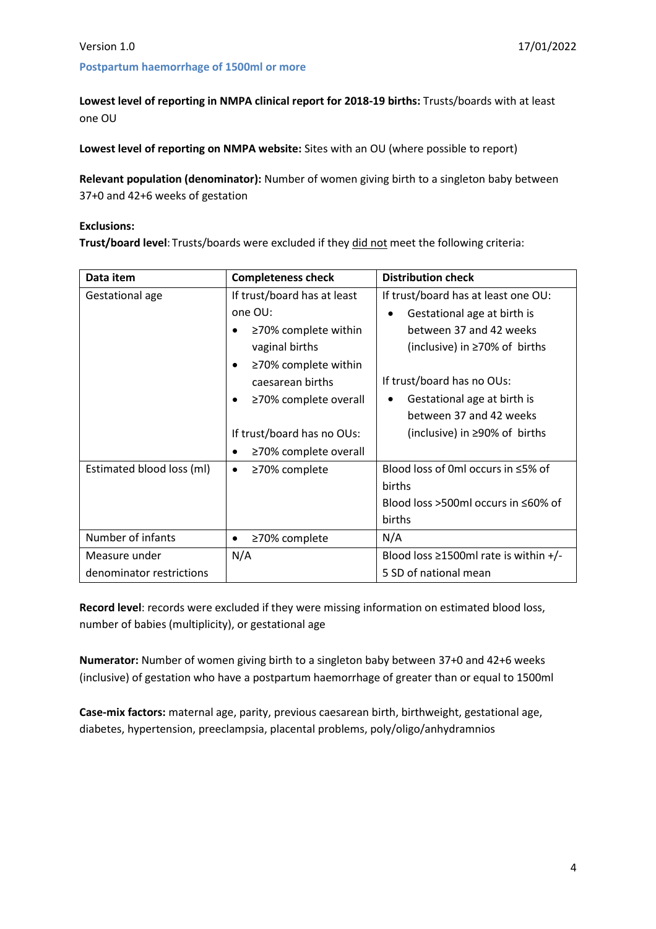### <span id="page-3-0"></span>**Postpartum haemorrhage of 1500ml or more**

**Lowest level of reporting in NMPA clinical report for 2018-19 births:** Trusts/boards with at least one OU

**Lowest level of reporting on NMPA website:** Sites with an OU (where possible to report)

**Relevant population (denominator):** Number of women giving birth to a singleton baby between 37+0 and 42+6 weeks of gestation

### **Exclusions:**

**Trust/board level**: Trusts/boards were excluded if they did not meet the following criteria:

| Data item                 | <b>Completeness check</b>               | <b>Distribution check</b>                   |
|---------------------------|-----------------------------------------|---------------------------------------------|
| Gestational age           | If trust/board has at least             | If trust/board has at least one OU:         |
|                           | one OU:                                 | Gestational age at birth is<br>$\bullet$    |
|                           | ≥70% complete within                    | between 37 and 42 weeks                     |
|                           | vaginal births                          | (inclusive) in ≥70% of births               |
|                           | $\geq$ 70% complete within<br>$\bullet$ |                                             |
|                           | caesarean births                        | If trust/board has no OUs:                  |
|                           | ≥70% complete overall                   | Gestational age at birth is                 |
|                           |                                         | between 37 and 42 weeks                     |
|                           | If trust/board has no OUs:              | (inclusive) in $\geq$ 90% of births         |
|                           | ≥70% complete overall                   |                                             |
| Estimated blood loss (ml) | ≥70% complete<br>٠                      | Blood loss of 0ml occurs in ≤5% of          |
|                           |                                         | births                                      |
|                           |                                         | Blood loss >500ml occurs in $\leq 60\%$ of  |
|                           |                                         | births                                      |
| Number of infants         | ≥70% complete<br>٠                      | N/A                                         |
| Measure under             | N/A                                     | Blood loss $\geq$ 1500ml rate is within +/- |
| denominator restrictions  |                                         | 5 SD of national mean                       |

**Record level**: records were excluded if they were missing information on estimated blood loss, number of babies (multiplicity), or gestational age

**Numerator:** Number of women giving birth to a singleton baby between 37+0 and 42+6 weeks (inclusive) of gestation who have a postpartum haemorrhage of greater than or equal to 1500ml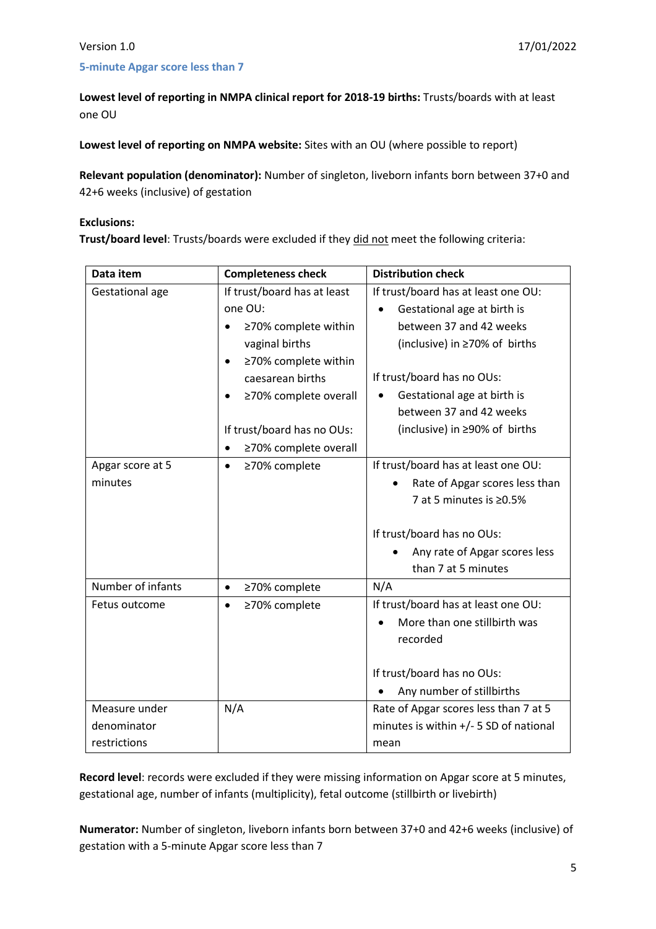### <span id="page-4-0"></span>**5-minute Apgar score less than 7**

**Lowest level of reporting in NMPA clinical report for 2018-19 births:** Trusts/boards with at least one OU

**Lowest level of reporting on NMPA website:** Sites with an OU (where possible to report)

**Relevant population (denominator):** Number of singleton, liveborn infants born between 37+0 and 42+6 weeks (inclusive) of gestation

### **Exclusions:**

**Trust/board level**: Trusts/boards were excluded if they did not meet the following criteria:

| Data item         | <b>Completeness check</b>   | <b>Distribution check</b>                |
|-------------------|-----------------------------|------------------------------------------|
| Gestational age   | If trust/board has at least | If trust/board has at least one OU:      |
|                   | one OU:                     | Gestational age at birth is<br>$\bullet$ |
|                   | ≥70% complete within        | between 37 and 42 weeks                  |
|                   | vaginal births              | (inclusive) in ≥70% of births            |
|                   | ≥70% complete within        |                                          |
|                   | caesarean births            | If trust/board has no OUs:               |
|                   | ≥70% complete overall       | Gestational age at birth is              |
|                   |                             | between 37 and 42 weeks                  |
|                   | If trust/board has no OUs:  | (inclusive) in ≥90% of births            |
|                   | ≥70% complete overall       |                                          |
| Apgar score at 5  | ≥70% complete<br>$\bullet$  | If trust/board has at least one OU:      |
| minutes           |                             | Rate of Apgar scores less than           |
|                   |                             | 7 at 5 minutes is ≥0.5%                  |
|                   |                             |                                          |
|                   |                             | If trust/board has no OUs:               |
|                   |                             | Any rate of Apgar scores less            |
|                   |                             | than 7 at 5 minutes                      |
| Number of infants | ≥70% complete<br>$\bullet$  | N/A                                      |
| Fetus outcome     | ≥70% complete<br>$\bullet$  | If trust/board has at least one OU:      |
|                   |                             | More than one stillbirth was             |
|                   |                             | recorded                                 |
|                   |                             |                                          |
|                   |                             | If trust/board has no OUs:               |
|                   |                             | Any number of stillbirths                |
| Measure under     | N/A                         | Rate of Apgar scores less than 7 at 5    |
| denominator       |                             | minutes is within $+/-$ 5 SD of national |
| restrictions      |                             | mean                                     |

**Record level**: records were excluded if they were missing information on Apgar score at 5 minutes, gestational age, number of infants (multiplicity), fetal outcome (stillbirth or livebirth)

**Numerator:** Number of singleton, liveborn infants born between 37+0 and 42+6 weeks (inclusive) of gestation with a 5-minute Apgar score less than 7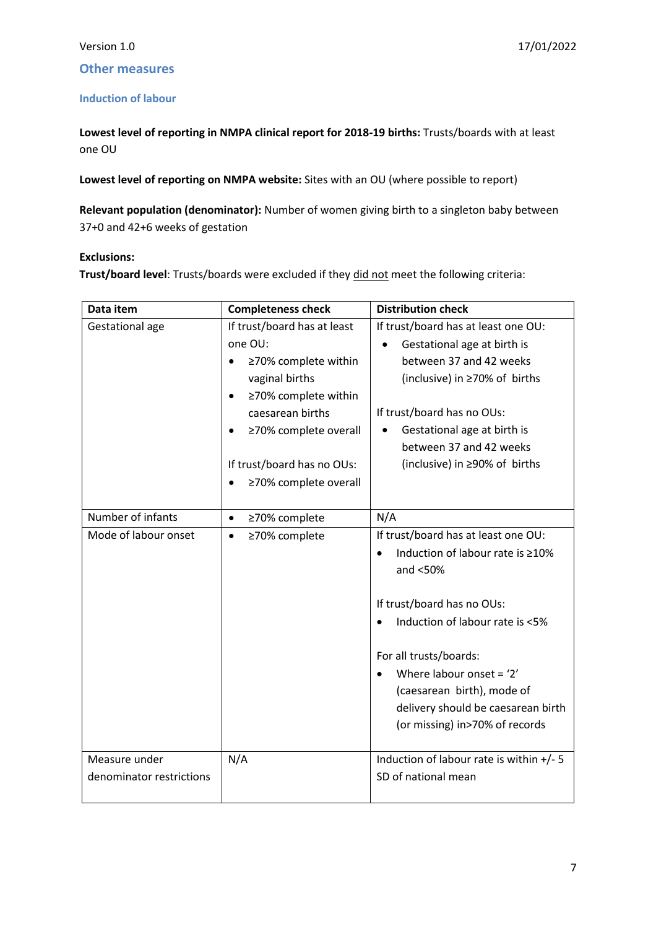### <span id="page-6-0"></span>**Other measures**

### <span id="page-6-1"></span>**Induction of labour**

**Lowest level of reporting in NMPA clinical report for 2018-19 births:** Trusts/boards with at least one OU

**Lowest level of reporting on NMPA website:** Sites with an OU (where possible to report)

**Relevant population (denominator):** Number of women giving birth to a singleton baby between 37+0 and 42+6 weeks of gestation

### **Exclusions:**

**Trust/board level**: Trusts/boards were excluded if they did not meet the following criteria:

| Data item                | <b>Completeness check</b>         | <b>Distribution check</b>                  |
|--------------------------|-----------------------------------|--------------------------------------------|
| Gestational age          | If trust/board has at least       | If trust/board has at least one OU:        |
|                          | one OU:                           | Gestational age at birth is<br>$\bullet$   |
|                          | ≥70% complete within              | between 37 and 42 weeks                    |
|                          | vaginal births                    | (inclusive) in ≥70% of births              |
|                          | ≥70% complete within<br>$\bullet$ |                                            |
|                          | caesarean births                  | If trust/board has no OUs:                 |
|                          | ≥70% complete overall             | Gestational age at birth is                |
|                          |                                   | between 37 and 42 weeks                    |
|                          | If trust/board has no OUs:        | (inclusive) in ≥90% of births              |
|                          | ≥70% complete overall             |                                            |
|                          |                                   |                                            |
| Number of infants        | ≥70% complete<br>$\bullet$        | N/A                                        |
| Mode of labour onset     | ≥70% complete<br>$\bullet$        | If trust/board has at least one OU:        |
|                          |                                   | Induction of labour rate is ≥10%           |
|                          |                                   | and $<$ 50%                                |
|                          |                                   |                                            |
|                          |                                   | If trust/board has no OUs:                 |
|                          |                                   | Induction of labour rate is <5%            |
|                          |                                   |                                            |
|                          |                                   | For all trusts/boards:                     |
|                          |                                   | Where labour onset = $2'$                  |
|                          |                                   | (caesarean birth), mode of                 |
|                          |                                   | delivery should be caesarean birth         |
|                          |                                   | (or missing) in>70% of records             |
|                          |                                   |                                            |
| Measure under            | N/A                               | Induction of labour rate is within $+/- 5$ |
| denominator restrictions |                                   | SD of national mean                        |
|                          |                                   |                                            |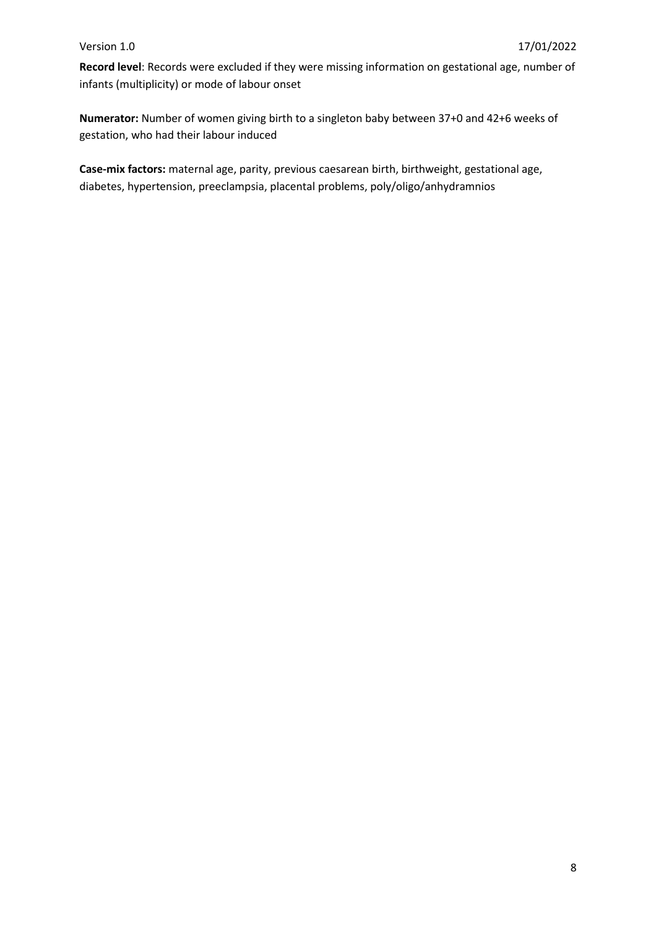Record level: Records were excluded if they were missing information on gestational age, number of infants (multiplicity) or mode of labour onset

**Numerator:** Number of women giving birth to a singleton baby between 37+0 and 42+6 weeks of gestation, who had their labour induced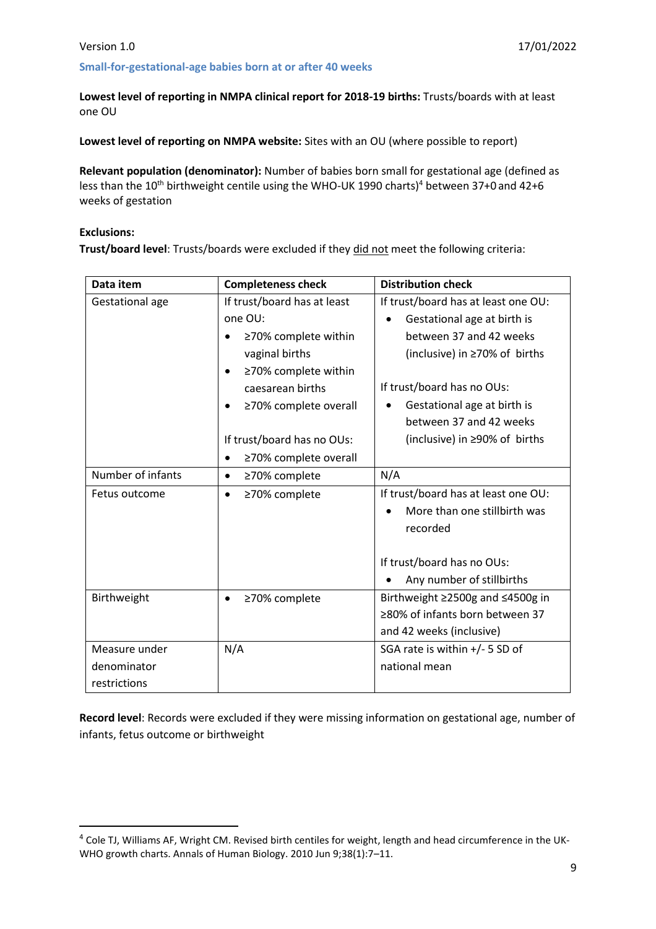### <span id="page-8-0"></span>**Small-for-gestational-age babies born at or after 40 weeks**

**Lowest level of reporting in NMPA clinical report for 2018-19 births:** Trusts/boards with at least one OU

**Lowest level of reporting on NMPA website:** Sites with an OU (where possible to report)

**Relevant population (denominator):** Number of babies born small for gestational age (defined as less than the 10<sup>th</sup> birthweight centile using the WHO-UK 1990 charts)<sup>4</sup> between 37+0 and 42+6 weeks of gestation

### **Exclusions:**

 $\overline{a}$ 

**Trust/board level**: Trusts/boards were excluded if they did not meet the following criteria:

| Data item         | <b>Completeness check</b>          | <b>Distribution check</b>           |
|-------------------|------------------------------------|-------------------------------------|
| Gestational age   | If trust/board has at least        | If trust/board has at least one OU: |
|                   | one OU:                            | Gestational age at birth is         |
|                   | ≥70% complete within               | between 37 and 42 weeks             |
|                   | vaginal births                     | (inclusive) in $\geq$ 70% of births |
|                   | ≥70% complete within               |                                     |
|                   | caesarean births                   | If trust/board has no OUs:          |
|                   | ≥70% complete overall              | Gestational age at birth is         |
|                   |                                    | between 37 and 42 weeks             |
|                   | If trust/board has no OUs:         | (inclusive) in ≥90% of births       |
|                   | ≥70% complete overall<br>$\bullet$ |                                     |
| Number of infants | ≥70% complete<br>$\bullet$         | N/A                                 |
| Fetus outcome     | ≥70% complete<br>$\bullet$         | If trust/board has at least one OU: |
|                   |                                    | More than one stillbirth was        |
|                   |                                    | recorded                            |
|                   |                                    |                                     |
|                   |                                    | If trust/board has no OUs:          |
|                   |                                    | Any number of stillbirths           |
| Birthweight       | ≥70% complete<br>$\bullet$         | Birthweight ≥2500g and ≤4500g in    |
|                   |                                    | ≥80% of infants born between 37     |
|                   |                                    | and 42 weeks (inclusive)            |
| Measure under     | N/A                                | SGA rate is within +/- 5 SD of      |
| denominator       |                                    | national mean                       |
| restrictions      |                                    |                                     |

Record level: Records were excluded if they were missing information on gestational age, number of infants, fetus outcome or birthweight

<sup>4</sup> Cole TJ, Williams AF, Wright CM. Revised birth centiles for weight, length and head circumference in the UK-WHO growth charts. Annals of Human Biology. 2010 Jun 9;38(1):7–11.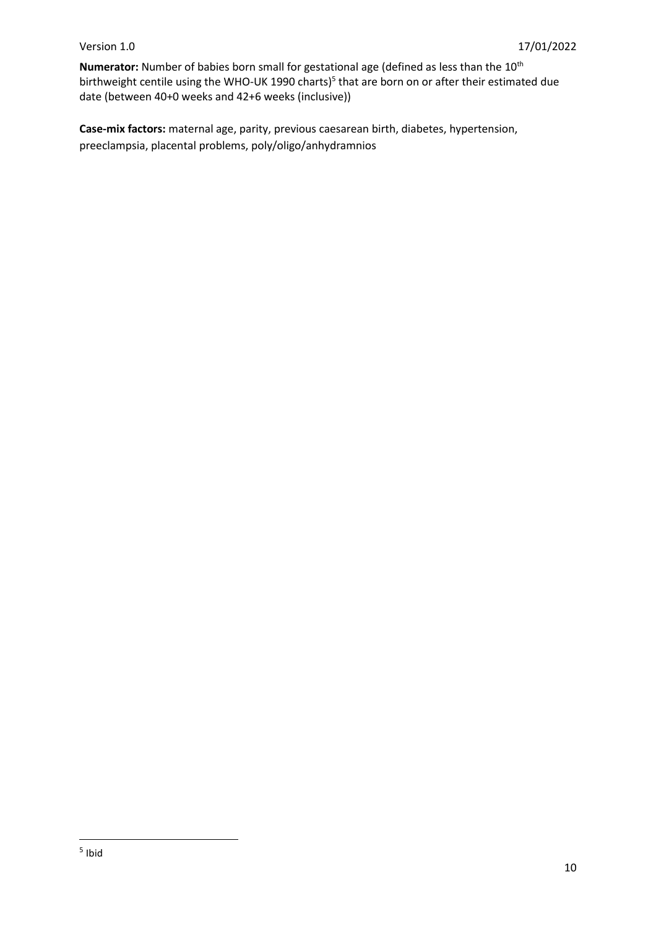Numerator: Number of babies born small for gestational age (defined as less than the 10<sup>th</sup> birthweight centile using the WHO-UK 1990 charts)<sup>5</sup> that are born on or after their estimated due date (between 40+0 weeks and 42+6 weeks (inclusive))

**Case-mix factors:** maternal age, parity, previous caesarean birth, diabetes, hypertension, preeclampsia, placental problems, poly/oligo/anhydramnios

 $\overline{\phantom{a}}$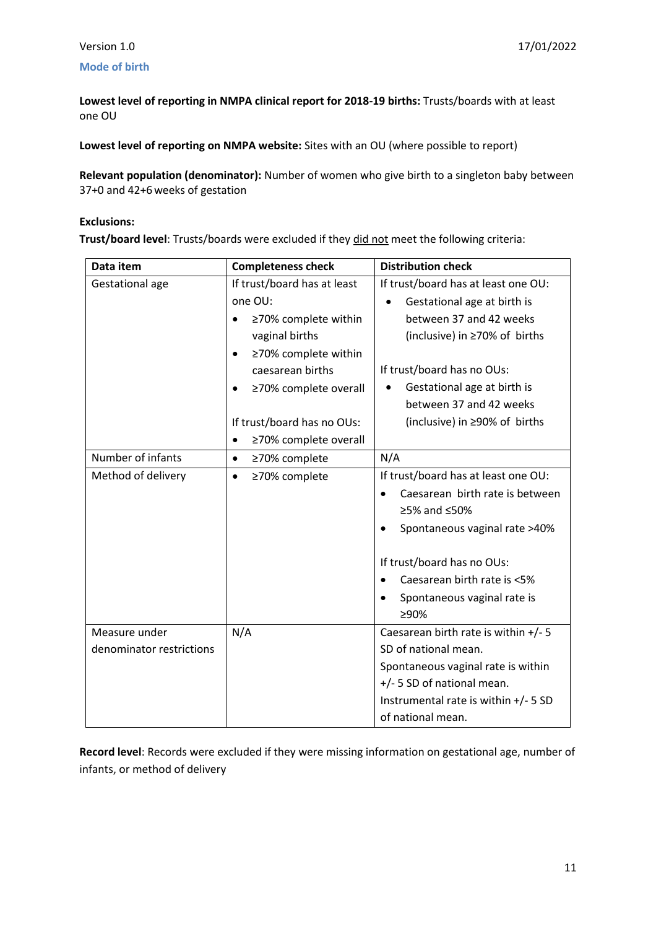### <span id="page-10-0"></span>**Mode of birth**

**Lowest level of reporting in NMPA clinical report for 2018-19 births:** Trusts/boards with at least one OU

**Lowest level of reporting on NMPA website:** Sites with an OU (where possible to report)

**Relevant population (denominator):** Number of women who give birth to a singleton baby between 37+0 and 42+6weeks of gestation

### **Exclusions:**

**Trust/board level**: Trusts/boards were excluded if they did not meet the following criteria:

| Data item                | <b>Completeness check</b>   | <b>Distribution check</b>                |
|--------------------------|-----------------------------|------------------------------------------|
| Gestational age          | If trust/board has at least | If trust/board has at least one OU:      |
|                          | one OU:                     | Gestational age at birth is              |
|                          | ≥70% complete within        | between 37 and 42 weeks                  |
|                          | vaginal births              | (inclusive) in ≥70% of births            |
|                          | ≥70% complete within        |                                          |
|                          | caesarean births            | If trust/board has no OUs:               |
|                          | ≥70% complete overall<br>٠  | Gestational age at birth is<br>$\bullet$ |
|                          |                             | between 37 and 42 weeks                  |
|                          | If trust/board has no OUs:  | (inclusive) in ≥90% of births            |
|                          | ≥70% complete overall       |                                          |
| Number of infants        | ≥70% complete<br>$\bullet$  | N/A                                      |
| Method of delivery       | ≥70% complete<br>$\bullet$  | If trust/board has at least one OU:      |
|                          |                             | Caesarean birth rate is between          |
|                          |                             | ≥5% and $≤50%$                           |
|                          |                             | Spontaneous vaginal rate >40%            |
|                          |                             | If trust/board has no OUs:               |
|                          |                             | Caesarean birth rate is <5%              |
|                          |                             | Spontaneous vaginal rate is              |
|                          |                             | ≥90%                                     |
| Measure under            | N/A                         | Caesarean birth rate is within +/- 5     |
| denominator restrictions |                             | SD of national mean.                     |
|                          |                             | Spontaneous vaginal rate is within       |
|                          |                             | +/- 5 SD of national mean.               |
|                          |                             | Instrumental rate is within +/- 5 SD     |
|                          |                             | of national mean.                        |

Record level: Records were excluded if they were missing information on gestational age, number of infants, or method of delivery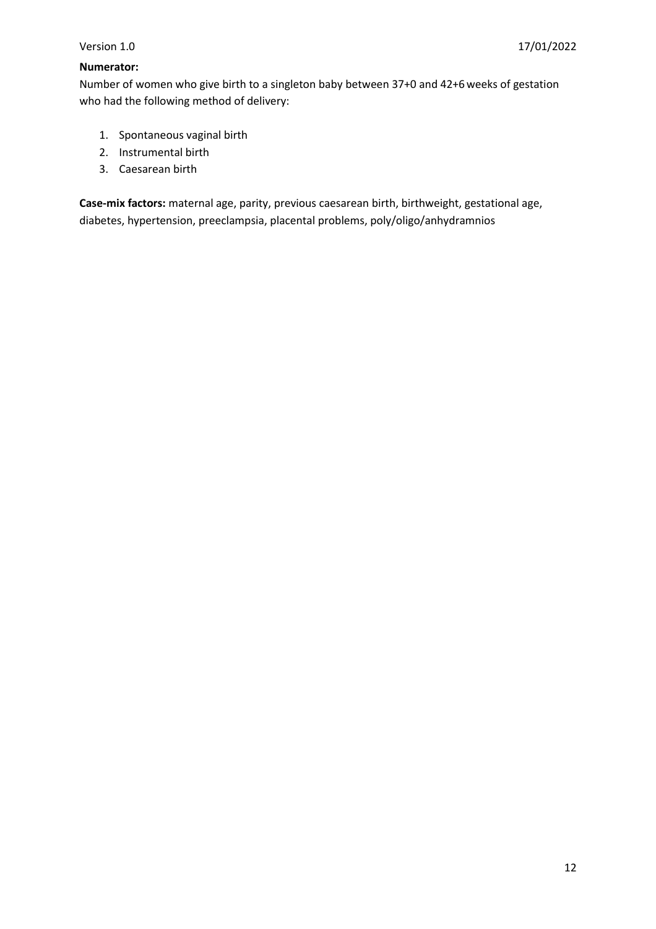### **Numerator:**

Number of women who give birth to a singleton baby between 37+0 and 42+6weeks of gestation who had the following method of delivery:

- 1. Spontaneous vaginal birth
- 2. Instrumental birth
- 3. Caesarean birth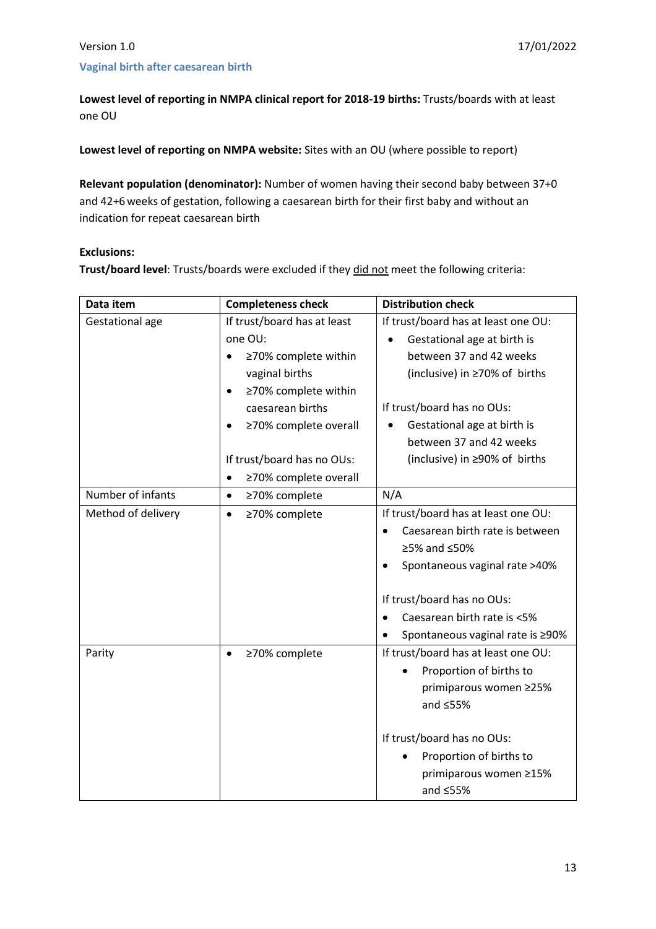### <span id="page-12-0"></span>**Vaginal birth after caesarean birth**

**Lowest level of reporting in NMPA clinical report for 2018-19 births:** Trusts/boards with at least one OU

**Lowest level of reporting on NMPA website:** Sites with an OU (where possible to report)

**Relevant population (denominator):** Number of women having their second baby between 37+0 and 42+6weeks of gestation, following a caesarean birth for their first baby and without an indication for repeat caesarean birth

### **Exclusions:**

**Trust/board level**: Trusts/boards were excluded if they did not meet the following criteria:

| Data item          | <b>Completeness check</b>          | <b>Distribution check</b>                     |
|--------------------|------------------------------------|-----------------------------------------------|
| Gestational age    | If trust/board has at least        | If trust/board has at least one OU:           |
|                    | one OU:                            | Gestational age at birth is                   |
|                    | ≥70% complete within               | between 37 and 42 weeks                       |
|                    | vaginal births                     | (inclusive) in ≥70% of births                 |
|                    | ≥70% complete within<br>$\bullet$  |                                               |
|                    | caesarean births                   | If trust/board has no OUs:                    |
|                    | ≥70% complete overall<br>$\bullet$ | Gestational age at birth is                   |
|                    |                                    | between 37 and 42 weeks                       |
|                    | If trust/board has no OUs:         | (inclusive) in ≥90% of births                 |
|                    | ≥70% complete overall<br>$\bullet$ |                                               |
| Number of infants  | ≥70% complete<br>$\bullet$         | N/A                                           |
| Method of delivery | ≥70% complete<br>$\bullet$         | If trust/board has at least one OU:           |
|                    |                                    | Caesarean birth rate is between               |
|                    |                                    | ≥5% and ≤50%                                  |
|                    |                                    | Spontaneous vaginal rate >40%                 |
|                    |                                    | If trust/board has no OUs:                    |
|                    |                                    | Caesarean birth rate is <5%                   |
|                    |                                    | Spontaneous vaginal rate is ≥90%<br>$\bullet$ |
| Parity             | ≥70% complete<br>$\bullet$         | If trust/board has at least one OU:           |
|                    |                                    | Proportion of births to                       |
|                    |                                    | primiparous women ≥25%                        |
|                    |                                    | and $\leq$ 55%                                |
|                    |                                    | If trust/board has no OUs:                    |
|                    |                                    | Proportion of births to                       |
|                    |                                    | primiparous women ≥15%                        |
|                    |                                    | and $\leq$ 55%                                |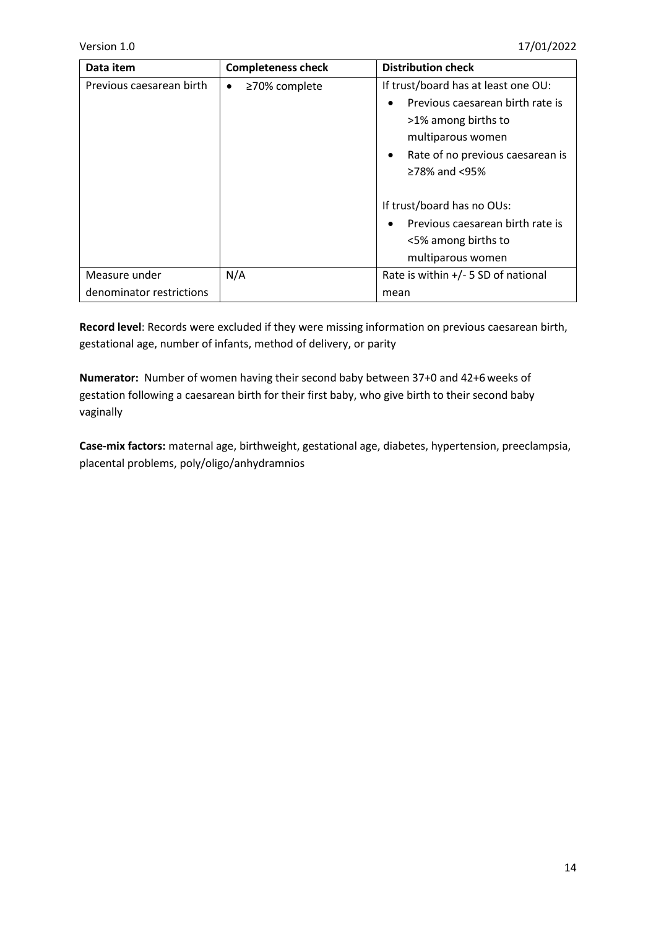| Data item                                 | <b>Completeness check</b>  | <b>Distribution check</b>                                                                                                                                                |
|-------------------------------------------|----------------------------|--------------------------------------------------------------------------------------------------------------------------------------------------------------------------|
| Previous caesarean birth                  | ≥70% complete<br>$\bullet$ | If trust/board has at least one OU:<br>Previous caesarean birth rate is<br>>1% among births to<br>multiparous women<br>Rate of no previous caesarean is<br>≥78% and <95% |
|                                           |                            | If trust/board has no OUs:<br>Previous caesarean birth rate is<br><5% among births to<br>multiparous women                                                               |
| Measure under<br>denominator restrictions | N/A                        | Rate is within $+/-$ 5 SD of national<br>mean                                                                                                                            |

Record level: Records were excluded if they were missing information on previous caesarean birth, gestational age, number of infants, method of delivery, or parity

**Numerator:** Number of women having their second baby between 37+0 and 42+6weeks of gestation following a caesarean birth for their first baby, who give birth to their second baby vaginally

**Case-mix factors:** maternal age, birthweight, gestational age, diabetes, hypertension, preeclampsia, placental problems, poly/oligo/anhydramnios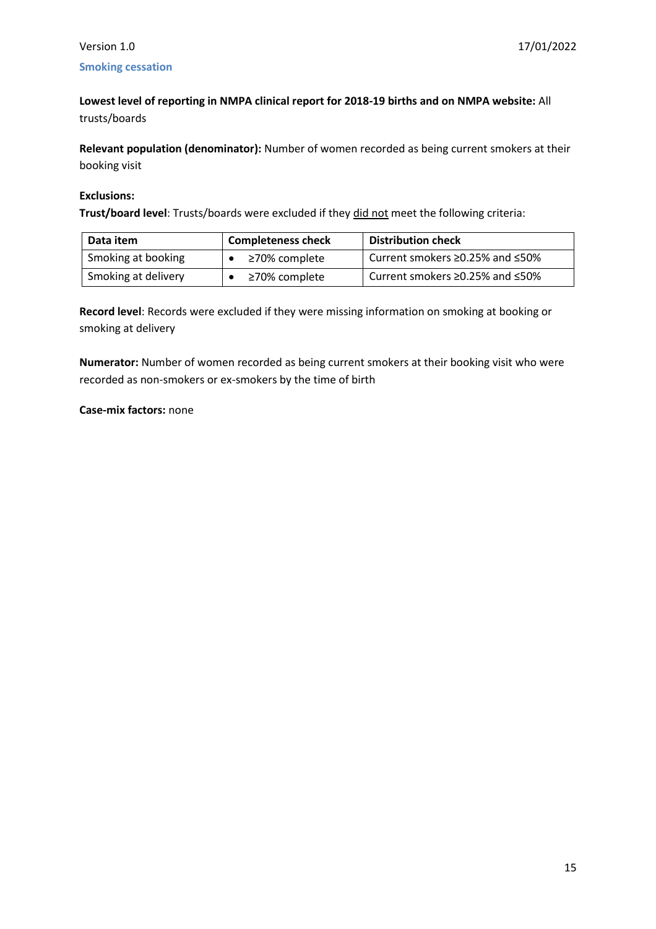### <span id="page-14-0"></span>Version 1.0 17/01/2022 **Smoking cessation**

**Lowest level of reporting in NMPA clinical report for 2018-19 births and on NMPA website:** All trusts/boards

**Relevant population (denominator):** Number of women recorded as being current smokers at their booking visit

### **Exclusions:**

**Trust/board level**: Trusts/boards were excluded if they did not meet the following criteria:

| Data item           | <b>Completeness check</b> | <b>Distribution check</b>                   |
|---------------------|---------------------------|---------------------------------------------|
| Smoking at booking  | ≥70% complete             | Current smokers $\geq$ 0.25% and $\leq$ 50% |
| Smoking at delivery | ≥70% complete             | Current smokers $\geq$ 0.25% and $\leq$ 50% |

**Record level:** Records were excluded if they were missing information on smoking at booking or smoking at delivery

**Numerator:** Number of women recorded as being current smokers at their booking visit who were recorded as non-smokers or ex-smokers by the time of birth

### **Case-mix factors:** none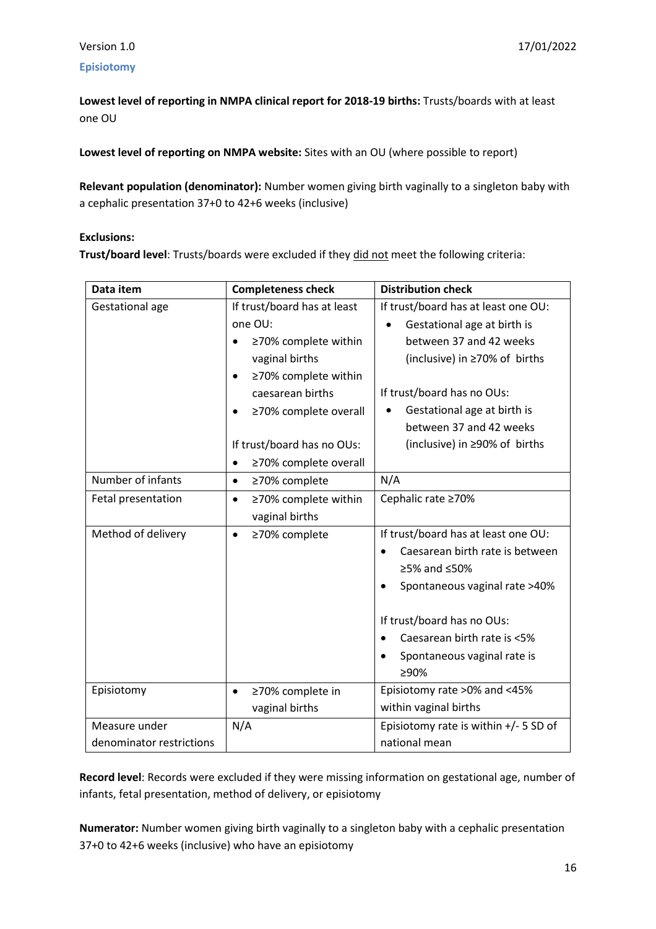### <span id="page-15-0"></span>**Episiotomy**

**Lowest level of reporting in NMPA clinical report for 2018-19 births:** Trusts/boards with at least one OU

**Lowest level of reporting on NMPA website:** Sites with an OU (where possible to report)

**Relevant population (denominator):** Number women giving birth vaginally to a singleton baby with a cephalic presentation 37+0 to 42+6 weeks (inclusive)

### **Exclusions:**

**Trust/board level**: Trusts/boards were excluded if they did not meet the following criteria:

| Data item                | <b>Completeness check</b>          | <b>Distribution check</b>                |
|--------------------------|------------------------------------|------------------------------------------|
| Gestational age          | If trust/board has at least        | If trust/board has at least one OU:      |
|                          | one OU:                            | Gestational age at birth is<br>$\bullet$ |
|                          | ≥70% complete within               | between 37 and 42 weeks                  |
|                          | vaginal births                     | (inclusive) in ≥70% of births            |
|                          | ≥70% complete within               |                                          |
|                          | caesarean births                   | If trust/board has no OUs:               |
|                          | ≥70% complete overall              | Gestational age at birth is              |
|                          |                                    | between 37 and 42 weeks                  |
|                          | If trust/board has no OUs:         | (inclusive) in ≥90% of births            |
|                          | ≥70% complete overall<br>$\bullet$ |                                          |
| Number of infants        | ≥70% complete<br>$\bullet$         | N/A                                      |
| Fetal presentation       | ≥70% complete within<br>$\bullet$  | Cephalic rate ≥70%                       |
|                          | vaginal births                     |                                          |
| Method of delivery       | ≥70% complete                      | If trust/board has at least one OU:      |
|                          |                                    | Caesarean birth rate is between          |
|                          |                                    | ≥5% and ≤50%                             |
|                          |                                    | Spontaneous vaginal rate >40%            |
|                          |                                    | If trust/board has no OUs:               |
|                          |                                    | Caesarean birth rate is <5%              |
|                          |                                    | Spontaneous vaginal rate is              |
|                          |                                    | ≥90%                                     |
| Episiotomy               | ≥70% complete in<br>$\bullet$      | Episiotomy rate >0% and <45%             |
|                          | vaginal births                     | within vaginal births                    |
| Measure under            | N/A                                | Episiotomy rate is within $+/-$ 5 SD of  |
| denominator restrictions |                                    | national mean                            |

Record level: Records were excluded if they were missing information on gestational age, number of infants, fetal presentation, method of delivery, or episiotomy

**Numerator:** Number women giving birth vaginally to a singleton baby with a cephalic presentation 37+0 to 42+6 weeks (inclusive) who have an episiotomy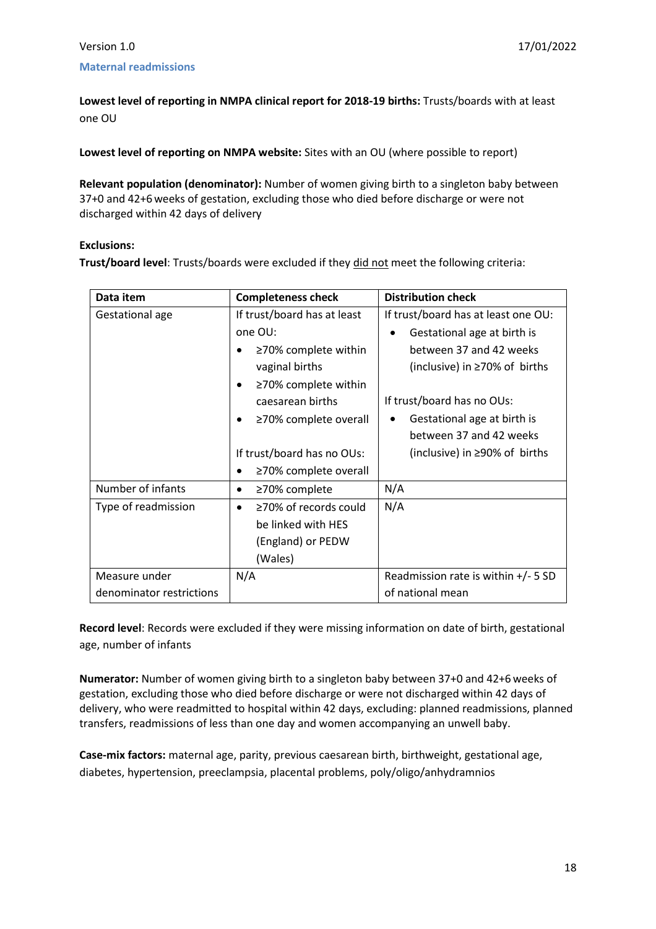### <span id="page-17-0"></span>**Maternal readmissions**

**Lowest level of reporting in NMPA clinical report for 2018-19 births:** Trusts/boards with at least one OU

**Lowest level of reporting on NMPA website:** Sites with an OU (where possible to report)

**Relevant population (denominator):** Number of women giving birth to a singleton baby between 37+0 and 42+6weeks of gestation, excluding those who died before discharge or were not discharged within 42 days of delivery

### **Exclusions:**

**Trust/board level**: Trusts/boards were excluded if they did not meet the following criteria:

| Data item                | <b>Completeness check</b>                | <b>Distribution check</b>             |
|--------------------------|------------------------------------------|---------------------------------------|
| Gestational age          | If trust/board has at least              | If trust/board has at least one OU:   |
|                          | one OU:                                  | Gestational age at birth is<br>٠      |
|                          | $\geq$ 70% complete within               | between 37 and 42 weeks               |
|                          | vaginal births                           | (inclusive) in $\geq$ 70% of births   |
|                          | ≥70% complete within<br>$\bullet$        |                                       |
|                          | caesarean births                         | If trust/board has no OUs:            |
|                          | ≥70% complete overall                    | Gestational age at birth is<br>٠      |
|                          |                                          | between 37 and 42 weeks               |
|                          | If trust/board has no OUs:               | (inclusive) in $\geq$ 90% of births   |
|                          | ≥70% complete overall                    |                                       |
| Number of infants        | ≥70% complete<br>$\bullet$               | N/A                                   |
| Type of readmission      | $\geq$ 70% of records could<br>$\bullet$ | N/A                                   |
|                          | be linked with HES                       |                                       |
|                          | (England) or PEDW                        |                                       |
|                          | (Wales)                                  |                                       |
| Measure under            | N/A                                      | Readmission rate is within $+/-$ 5 SD |
| denominator restrictions |                                          | of national mean                      |

**Record level**: Records were excluded if they were missing information on date of birth, gestational age, number of infants

**Numerator:** Number of women giving birth to a singleton baby between 37+0 and 42+6 weeks of gestation, excluding those who died before discharge or were not discharged within 42 days of delivery, who were readmitted to hospital within 42 days, excluding: planned readmissions, planned transfers, readmissions of less than one day and women accompanying an unwell baby.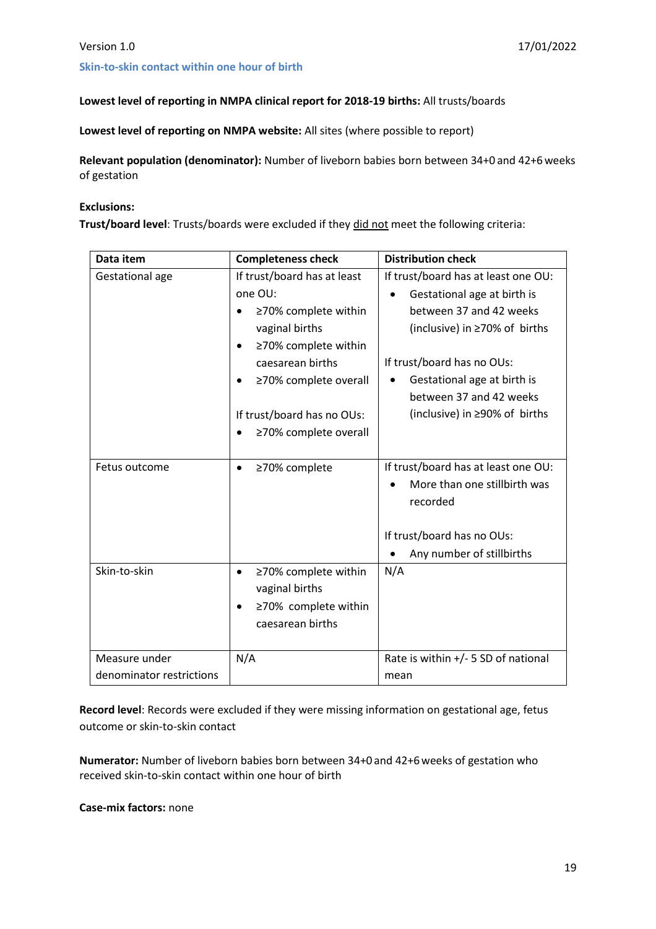### <span id="page-18-0"></span>**Skin-to-skin contact within one hour of birth**

### **Lowest level of reporting in NMPA clinical report for 2018-19 births:** All trusts/boards

**Lowest level of reporting on NMPA website:** All sites (where possible to report)

**Relevant population (denominator):** Number of liveborn babies born between 34+0 and 42+6weeks of gestation

### **Exclusions:**

**Trust/board level**: Trusts/boards were excluded if they did not meet the following criteria:

| Data item                | <b>Completeness check</b>         | <b>Distribution check</b>                |
|--------------------------|-----------------------------------|------------------------------------------|
| Gestational age          | If trust/board has at least       | If trust/board has at least one OU:      |
|                          | one OU:                           | Gestational age at birth is              |
|                          | ≥70% complete within<br>٠         | between 37 and 42 weeks                  |
|                          | vaginal births                    | (inclusive) in ≥70% of births            |
|                          | ≥70% complete within<br>$\bullet$ |                                          |
|                          | caesarean births                  | If trust/board has no OUs:               |
|                          | ≥70% complete overall             | Gestational age at birth is              |
|                          |                                   | between 37 and 42 weeks                  |
|                          | If trust/board has no OUs:        | (inclusive) in ≥90% of births            |
|                          | ≥70% complete overall             |                                          |
|                          |                                   |                                          |
| Fetus outcome            | ≥70% complete<br>$\bullet$        | If trust/board has at least one OU:      |
|                          |                                   | More than one stillbirth was<br>recorded |
|                          |                                   | If trust/board has no OUs:               |
|                          |                                   | Any number of stillbirths                |
| Skin-to-skin             | ≥70% complete within<br>$\bullet$ | N/A                                      |
|                          | vaginal births                    |                                          |
|                          | ≥70% complete within<br>$\bullet$ |                                          |
|                          | caesarean births                  |                                          |
|                          |                                   |                                          |
| Measure under            | N/A                               | Rate is within +/- 5 SD of national      |
| denominator restrictions |                                   | mean                                     |

**Record level**: Records were excluded if they were missing information on gestational age, fetus outcome or skin-to-skin contact

**Numerator:** Number of liveborn babies born between 34+0 and 42+6weeks of gestation who received skin-to-skin contact within one hour of birth

**Case-mix factors:** none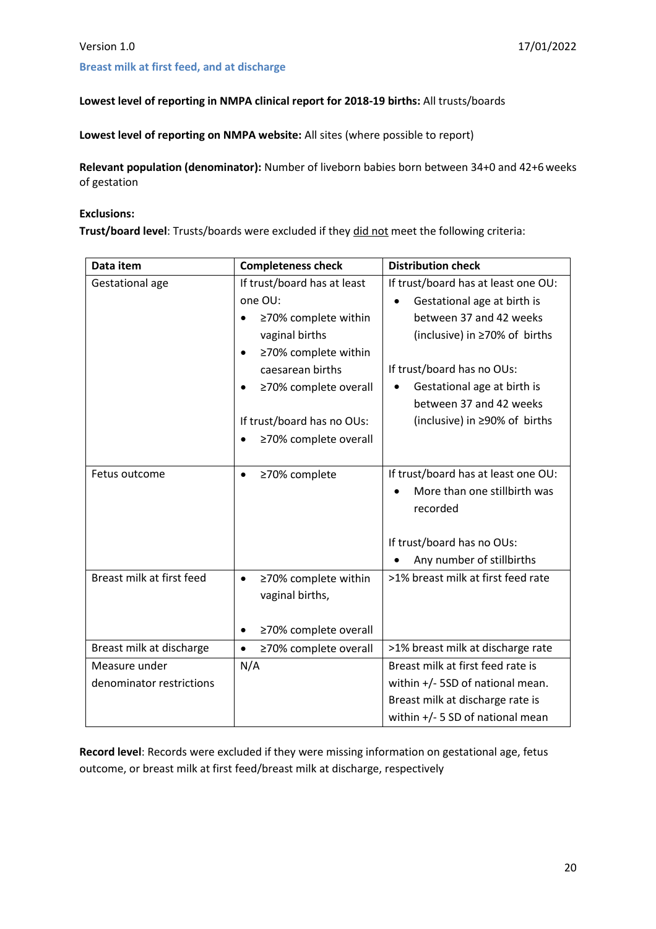### <span id="page-19-0"></span>**Breast milk at first feed, and at discharge**

### **Lowest level of reporting in NMPA clinical report for 2018-19 births:** All trusts/boards

**Lowest level of reporting on NMPA website:** All sites (where possible to report)

**Relevant population (denominator):** Number of liveborn babies born between 34+0 and 42+6weeks of gestation

### **Exclusions:**

**Trust/board level**: Trusts/boards were excluded if they did not meet the following criteria:

| Data item                 | <b>Completeness check</b>          | <b>Distribution check</b>                                           |
|---------------------------|------------------------------------|---------------------------------------------------------------------|
| Gestational age           | If trust/board has at least        | If trust/board has at least one OU:                                 |
|                           | one OU:                            | Gestational age at birth is                                         |
|                           | ≥70% complete within<br>$\bullet$  | between 37 and 42 weeks                                             |
|                           | vaginal births                     | (inclusive) in ≥70% of births                                       |
|                           | ≥70% complete within<br>$\bullet$  |                                                                     |
|                           | caesarean births                   | If trust/board has no OUs:                                          |
|                           | ≥70% complete overall<br>$\bullet$ | Gestational age at birth is<br>$\bullet$<br>between 37 and 42 weeks |
|                           | If trust/board has no OUs:         | (inclusive) in ≥90% of births                                       |
|                           | ≥70% complete overall              |                                                                     |
|                           |                                    |                                                                     |
| Fetus outcome             | ≥70% complete<br>$\bullet$         | If trust/board has at least one OU:                                 |
|                           |                                    | More than one stillbirth was                                        |
|                           |                                    | recorded                                                            |
|                           |                                    |                                                                     |
|                           |                                    | If trust/board has no OUs:                                          |
|                           |                                    | Any number of stillbirths                                           |
| Breast milk at first feed | ≥70% complete within<br>$\bullet$  | >1% breast milk at first feed rate                                  |
|                           | vaginal births,                    |                                                                     |
|                           |                                    |                                                                     |
|                           | ≥70% complete overall<br>$\bullet$ |                                                                     |
| Breast milk at discharge  | ≥70% complete overall<br>$\bullet$ | >1% breast milk at discharge rate                                   |
| Measure under             | N/A                                | Breast milk at first feed rate is                                   |
| denominator restrictions  |                                    | within +/- 5SD of national mean.                                    |
|                           |                                    | Breast milk at discharge rate is                                    |
|                           |                                    | within +/- 5 SD of national mean                                    |

Record level: Records were excluded if they were missing information on gestational age, fetus outcome, or breast milk at first feed/breast milk at discharge, respectively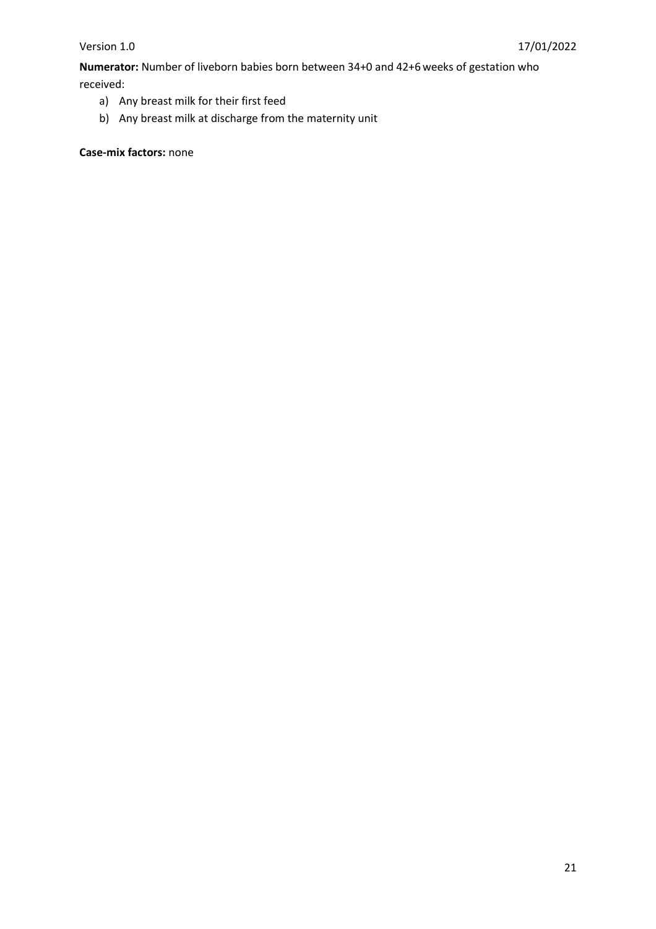**Numerator:** Number of liveborn babies born between 34+0 and 42+6 weeks of gestation who received:

- a) Any breast milk for their first feed
- b) Any breast milk at discharge from the maternity unit

**Case-mix factors:** none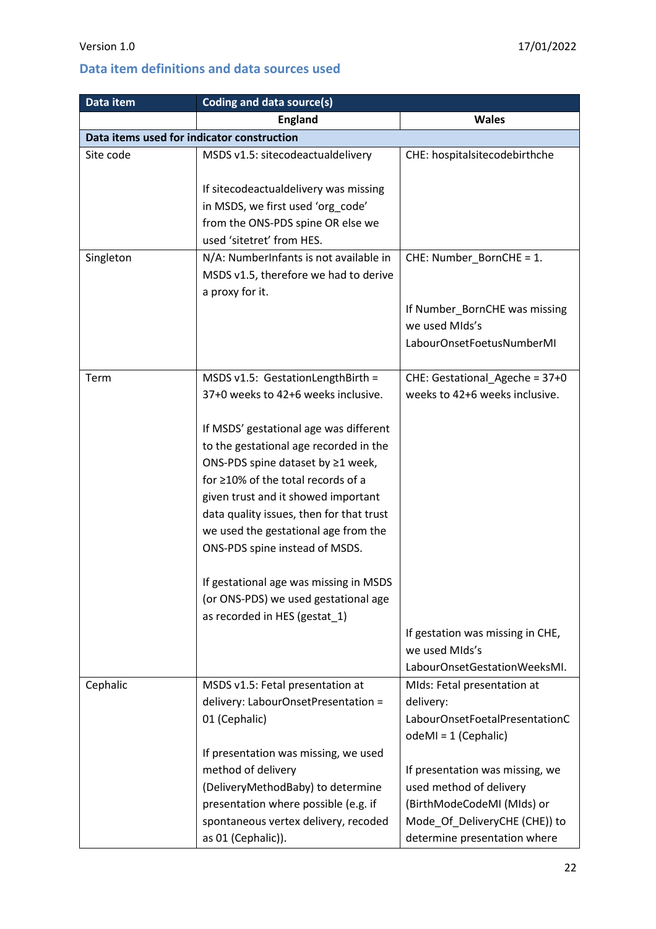## <span id="page-21-0"></span>**Data item definitions and data sources used**

| Data item                                  | Coding and data source(s)                |                                  |
|--------------------------------------------|------------------------------------------|----------------------------------|
|                                            | <b>England</b>                           | <b>Wales</b>                     |
| Data items used for indicator construction |                                          |                                  |
| Site code                                  | MSDS v1.5: sitecodeactualdelivery        | CHE: hospitalsitecodebirthche    |
|                                            | If sitecodeactualdelivery was missing    |                                  |
|                                            | in MSDS, we first used 'org code'        |                                  |
|                                            | from the ONS-PDS spine OR else we        |                                  |
|                                            | used 'sitetret' from HES.                |                                  |
| Singleton                                  | N/A: NumberInfants is not available in   | CHE: Number_BornCHE = 1.         |
|                                            | MSDS v1.5, therefore we had to derive    |                                  |
|                                            | a proxy for it.                          |                                  |
|                                            |                                          | If Number_BornCHE was missing    |
|                                            |                                          | we used MIds's                   |
|                                            |                                          | LabourOnsetFoetusNumberMI        |
| Term                                       | MSDS v1.5: GestationLengthBirth =        | CHE: Gestational_Ageche = 37+0   |
|                                            | 37+0 weeks to 42+6 weeks inclusive.      | weeks to 42+6 weeks inclusive.   |
|                                            | If MSDS' gestational age was different   |                                  |
|                                            | to the gestational age recorded in the   |                                  |
|                                            | ONS-PDS spine dataset by ≥1 week,        |                                  |
|                                            | for ≥10% of the total records of a       |                                  |
|                                            | given trust and it showed important      |                                  |
|                                            | data quality issues, then for that trust |                                  |
|                                            | we used the gestational age from the     |                                  |
|                                            | ONS-PDS spine instead of MSDS.           |                                  |
|                                            | If gestational age was missing in MSDS   |                                  |
|                                            | (or ONS-PDS) we used gestational age     |                                  |
|                                            | as recorded in HES (gestat_1)            |                                  |
|                                            |                                          | If gestation was missing in CHE, |
|                                            |                                          | we used MIds's                   |
|                                            |                                          | LabourOnsetGestationWeeksMI.     |
| Cephalic                                   | MSDS v1.5: Fetal presentation at         | MIds: Fetal presentation at      |
|                                            | delivery: LabourOnsetPresentation =      | delivery:                        |
|                                            | 01 (Cephalic)                            | LabourOnsetFoetalPresentationC   |
|                                            |                                          | $odeMI = 1$ (Cephalic)           |
|                                            | If presentation was missing, we used     |                                  |
|                                            | method of delivery                       | If presentation was missing, we  |
|                                            | (DeliveryMethodBaby) to determine        | used method of delivery          |
|                                            | presentation where possible (e.g. if     | (BirthModeCodeMI (MIds) or       |
|                                            | spontaneous vertex delivery, recoded     | Mode_Of_DeliveryCHE (CHE)) to    |
|                                            | as 01 (Cephalic)).                       | determine presentation where     |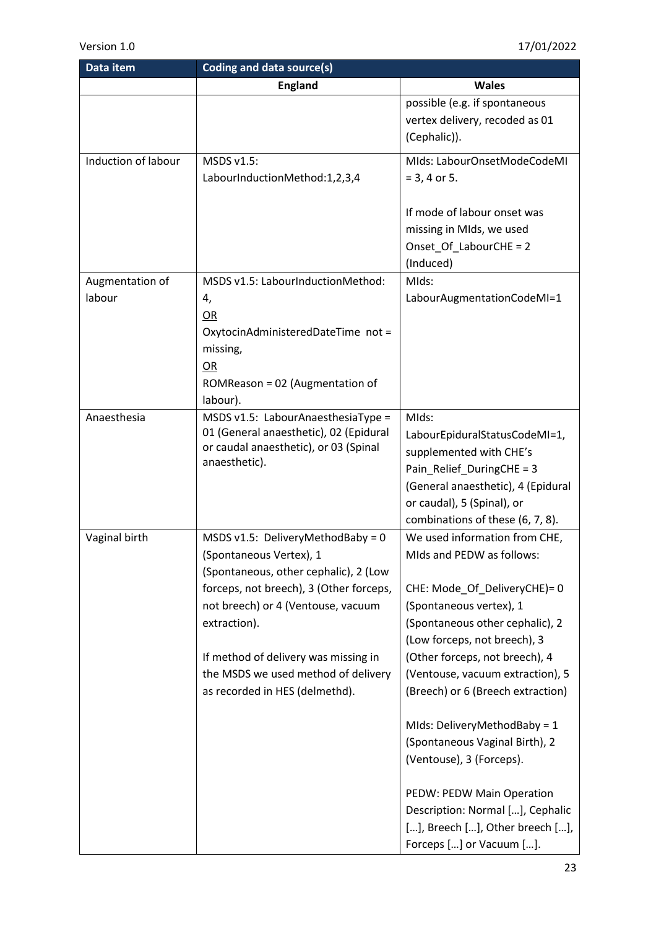| Data item           | Coding and data source(s)               |                                    |
|---------------------|-----------------------------------------|------------------------------------|
|                     | <b>England</b>                          | <b>Wales</b>                       |
|                     |                                         | possible (e.g. if spontaneous      |
|                     |                                         | vertex delivery, recoded as 01     |
|                     |                                         | (Cephalic)).                       |
| Induction of labour | MSDS v1.5:                              | MIds: LabourOnsetModeCodeMI        |
|                     | LabourInductionMethod:1,2,3,4           | $= 3, 4$ or 5.                     |
|                     |                                         |                                    |
|                     |                                         | If mode of labour onset was        |
|                     |                                         | missing in MIds, we used           |
|                     |                                         | Onset_Of_LabourCHE = 2             |
|                     |                                         | (Induced)                          |
| Augmentation of     | MSDS v1.5: LabourInductionMethod:       | MIds:                              |
| labour              | 4,                                      | LabourAugmentationCodeMI=1         |
|                     | OR                                      |                                    |
|                     | OxytocinAdministeredDateTime not =      |                                    |
|                     | missing,                                |                                    |
|                     | OR                                      |                                    |
|                     | ROMReason = 02 (Augmentation of         |                                    |
|                     | labour).                                |                                    |
| Anaesthesia         | MSDS v1.5: LabourAnaesthesiaType =      | MIds:                              |
|                     | 01 (General anaesthetic), 02 (Epidural  | LabourEpiduralStatusCodeMI=1,      |
|                     | or caudal anaesthetic), or 03 (Spinal   | supplemented with CHE's            |
|                     | anaesthetic).                           | Pain_Relief_DuringCHE = 3          |
|                     |                                         | (General anaesthetic), 4 (Epidural |
|                     |                                         | or caudal), 5 (Spinal), or         |
|                     |                                         | combinations of these (6, 7, 8).   |
| Vaginal birth       | MSDS v1.5: DeliveryMethodBaby = $0$     | We used information from CHE,      |
|                     | (Spontaneous Vertex), 1                 | MIds and PEDW as follows:          |
|                     | (Spontaneous, other cephalic), 2 (Low   |                                    |
|                     | forceps, not breech), 3 (Other forceps, | CHE: Mode Of DeliveryCHE)= 0       |
|                     | not breech) or 4 (Ventouse, vacuum      | (Spontaneous vertex), 1            |
|                     | extraction).                            | (Spontaneous other cephalic), 2    |
|                     |                                         | (Low forceps, not breech), 3       |
|                     | If method of delivery was missing in    | (Other forceps, not breech), 4     |
|                     | the MSDS we used method of delivery     | (Ventouse, vacuum extraction), 5   |
|                     | as recorded in HES (delmethd).          | (Breech) or 6 (Breech extraction)  |
|                     |                                         |                                    |
|                     |                                         | MIds: DeliveryMethodBaby = 1       |
|                     |                                         | (Spontaneous Vaginal Birth), 2     |
|                     |                                         | (Ventouse), 3 (Forceps).           |
|                     |                                         |                                    |
|                     |                                         | PEDW: PEDW Main Operation          |
|                     |                                         | Description: Normal [], Cephalic   |
|                     |                                         | [], Breech [], Other breech [],    |
|                     |                                         | Forceps [] or Vacuum [].           |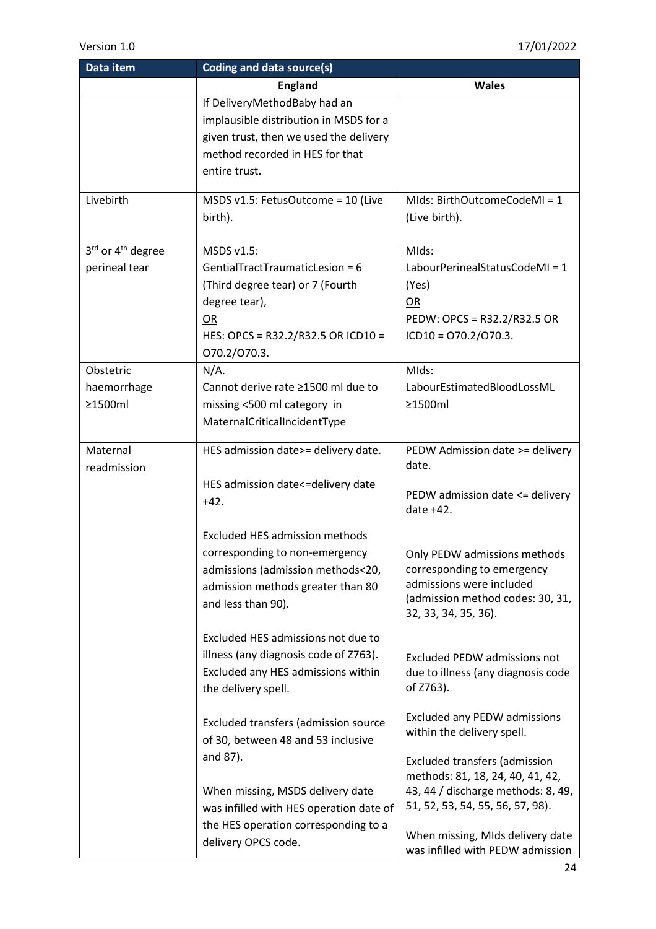| Data item                     | Coding and data source(s)               |                                     |
|-------------------------------|-----------------------------------------|-------------------------------------|
|                               | <b>England</b>                          | <b>Wales</b>                        |
|                               | If DeliveryMethodBaby had an            |                                     |
|                               | implausible distribution in MSDS for a  |                                     |
|                               | given trust, then we used the delivery  |                                     |
|                               | method recorded in HES for that         |                                     |
|                               | entire trust.                           |                                     |
|                               |                                         |                                     |
| Livebirth                     | MSDS v1.5: FetusOutcome = 10 (Live      | MIds: BirthOutcomeCodeMI = 1        |
|                               | birth).                                 | (Live birth).                       |
|                               |                                         |                                     |
| 3rd or 4 <sup>th</sup> degree | MSDS v1.5:                              | MIds:                               |
| perineal tear                 | GentialTractTraumaticLesion = 6         | LabourPerinealStatusCodeMI = 1      |
|                               | (Third degree tear) or 7 (Fourth        | (Yes)                               |
|                               | degree tear),                           | OR                                  |
|                               | <b>OR</b>                               | PEDW: OPCS = R32.2/R32.5 OR         |
|                               | HES: OPCS = R32.2/R32.5 OR ICD10 =      | $ICD10 = 070.2/070.3.$              |
|                               | 070.2/070.3.                            |                                     |
| Obstetric                     | $N/A$ .                                 | MIds:                               |
| haemorrhage                   | Cannot derive rate ≥1500 ml due to      | LabourEstimatedBloodLossML          |
| ≥1500ml                       | missing <500 ml category in             | ≥1500ml                             |
|                               | MaternalCriticalIncidentType            |                                     |
|                               |                                         |                                     |
| Maternal                      | HES admission date>= delivery date.     | PEDW Admission date >= delivery     |
| readmission                   |                                         | date.                               |
|                               | HES admission date<=delivery date       | PEDW admission date <= delivery     |
|                               | $+42.$                                  | date +42.                           |
|                               |                                         |                                     |
|                               | <b>Excluded HES admission methods</b>   |                                     |
|                               | corresponding to non-emergency          | Only PEDW admissions methods        |
|                               | admissions (admission methods<20,       | corresponding to emergency          |
|                               | admission methods greater than 80       | admissions were included            |
|                               | and less than 90).                      | (admission method codes: 30, 31,    |
|                               |                                         | 32, 33, 34, 35, 36).                |
|                               | Excluded HES admissions not due to      |                                     |
|                               | illness (any diagnosis code of Z763).   | <b>Excluded PEDW admissions not</b> |
|                               | Excluded any HES admissions within      | due to illness (any diagnosis code  |
|                               | the delivery spell.                     | of Z763).                           |
|                               |                                         |                                     |
|                               | Excluded transfers (admission source    | <b>Excluded any PEDW admissions</b> |
|                               | of 30, between 48 and 53 inclusive      | within the delivery spell.          |
|                               | and 87).                                | Excluded transfers (admission       |
|                               |                                         | methods: 81, 18, 24, 40, 41, 42,    |
|                               | When missing, MSDS delivery date        | 43, 44 / discharge methods: 8, 49,  |
|                               | was infilled with HES operation date of | 51, 52, 53, 54, 55, 56, 57, 98).    |
|                               | the HES operation corresponding to a    |                                     |
|                               | delivery OPCS code.                     | When missing, MIds delivery date    |
|                               |                                         | was infilled with PEDW admission    |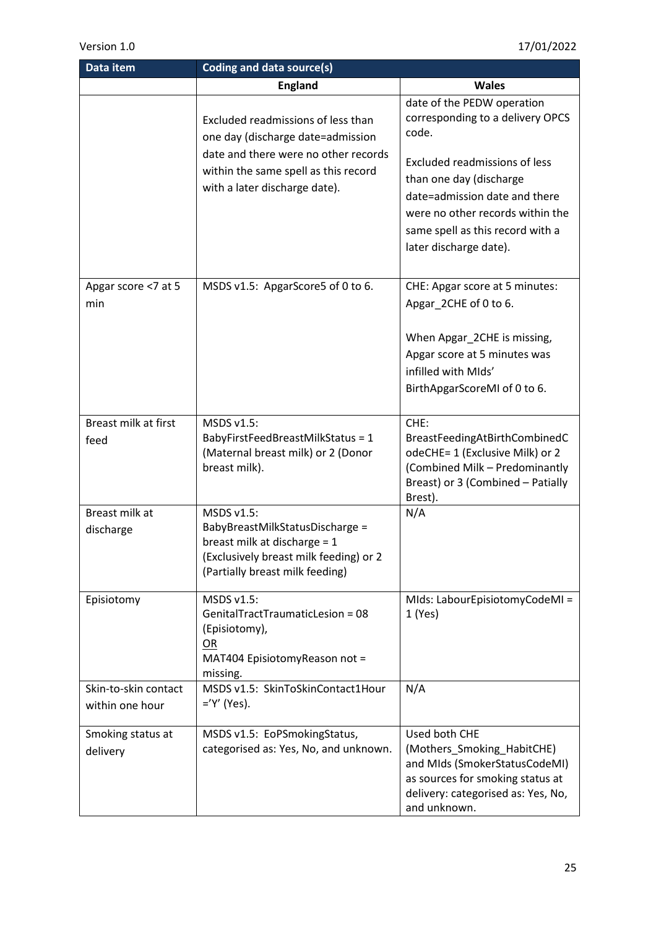| Data item                               | Coding and data source(s)                                                                                                                                                                |                                                                                                                                                                                                                                                                               |
|-----------------------------------------|------------------------------------------------------------------------------------------------------------------------------------------------------------------------------------------|-------------------------------------------------------------------------------------------------------------------------------------------------------------------------------------------------------------------------------------------------------------------------------|
|                                         | <b>England</b>                                                                                                                                                                           | <b>Wales</b>                                                                                                                                                                                                                                                                  |
|                                         | Excluded readmissions of less than<br>one day (discharge date=admission<br>date and there were no other records<br>within the same spell as this record<br>with a later discharge date). | date of the PEDW operation<br>corresponding to a delivery OPCS<br>code.<br><b>Excluded readmissions of less</b><br>than one day (discharge<br>date=admission date and there<br>were no other records within the<br>same spell as this record with a<br>later discharge date). |
| Apgar score <7 at 5<br>min              | MSDS v1.5: ApgarScore5 of 0 to 6.                                                                                                                                                        | CHE: Apgar score at 5 minutes:<br>Apgar_2CHE of 0 to 6.<br>When Apgar_2CHE is missing,<br>Apgar score at 5 minutes was<br>infilled with MIds'<br>BirthApgarScoreMI of 0 to 6.                                                                                                 |
| Breast milk at first<br>feed            | MSDS v1.5:<br>BabyFirstFeedBreastMilkStatus = 1<br>(Maternal breast milk) or 2 (Donor<br>breast milk).                                                                                   | CHE:<br>BreastFeedingAtBirthCombinedC<br>odeCHE= 1 (Exclusive Milk) or 2<br>(Combined Milk - Predominantly<br>Breast) or 3 (Combined - Patially<br>Brest).                                                                                                                    |
| Breast milk at<br>discharge             | MSDS v1.5:<br>BabyBreastMilkStatusDischarge =<br>breast milk at discharge = 1<br>(Exclusively breast milk feeding) or 2<br>(Partially breast milk feeding)                               | N/A                                                                                                                                                                                                                                                                           |
| Episiotomy                              | MSDS v1.5:<br>GenitalTractTraumaticLesion = 08<br>(Episiotomy),<br>OR<br>MAT404 EpisiotomyReason not =<br>missing.                                                                       | MIds: LabourEpisiotomyCodeMI =<br>1(Yes)                                                                                                                                                                                                                                      |
| Skin-to-skin contact<br>within one hour | MSDS v1.5: SkinToSkinContact1Hour<br>$=$ 'Y' (Yes).                                                                                                                                      | N/A                                                                                                                                                                                                                                                                           |
| Smoking status at<br>delivery           | MSDS v1.5: EoPSmokingStatus,<br>categorised as: Yes, No, and unknown.                                                                                                                    | Used both CHE<br>(Mothers_Smoking_HabitCHE)<br>and MIds (SmokerStatusCodeMI)<br>as sources for smoking status at<br>delivery: categorised as: Yes, No,<br>and unknown.                                                                                                        |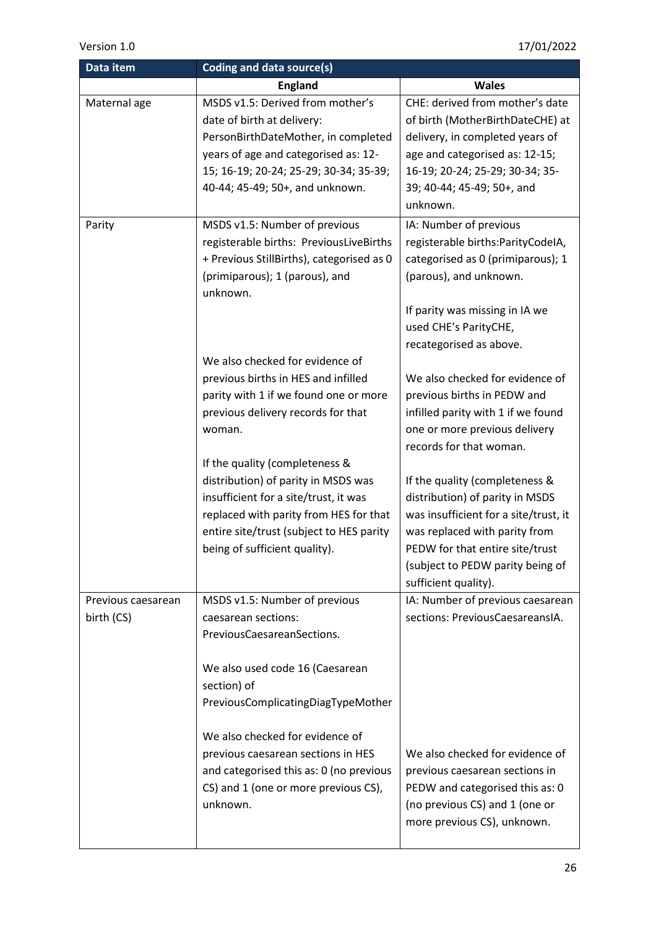| Data item                        | Coding and data source(s)                                                                                                                                                                                                                                                                              |                                                                                                                                                                                                                                                                                      |
|----------------------------------|--------------------------------------------------------------------------------------------------------------------------------------------------------------------------------------------------------------------------------------------------------------------------------------------------------|--------------------------------------------------------------------------------------------------------------------------------------------------------------------------------------------------------------------------------------------------------------------------------------|
|                                  | <b>England</b>                                                                                                                                                                                                                                                                                         | <b>Wales</b>                                                                                                                                                                                                                                                                         |
| Maternal age<br>Parity           | MSDS v1.5: Derived from mother's<br>date of birth at delivery:<br>PersonBirthDateMother, in completed<br>years of age and categorised as: 12-<br>15; 16-19; 20-24; 25-29; 30-34; 35-39;<br>40-44; 45-49; 50+, and unknown.<br>MSDS v1.5: Number of previous<br>registerable births: PreviousLiveBirths | CHE: derived from mother's date<br>of birth (MotherBirthDateCHE) at<br>delivery, in completed years of<br>age and categorised as: 12-15;<br>16-19; 20-24; 25-29; 30-34; 35-<br>39; 40-44; 45-49; 50+, and<br>unknown.<br>IA: Number of previous<br>registerable births:ParityCodeIA, |
|                                  | + Previous StillBirths), categorised as 0<br>(primiparous); 1 (parous), and<br>unknown.<br>We also checked for evidence of                                                                                                                                                                             | categorised as 0 (primiparous); 1<br>(parous), and unknown.<br>If parity was missing in IA we<br>used CHE's ParityCHE,<br>recategorised as above.                                                                                                                                    |
|                                  | previous births in HES and infilled<br>parity with 1 if we found one or more<br>previous delivery records for that<br>woman.<br>If the quality (completeness &                                                                                                                                         | We also checked for evidence of<br>previous births in PEDW and<br>infilled parity with 1 if we found<br>one or more previous delivery<br>records for that woman.                                                                                                                     |
|                                  | distribution) of parity in MSDS was<br>insufficient for a site/trust, it was<br>replaced with parity from HES for that<br>entire site/trust (subject to HES parity<br>being of sufficient quality).                                                                                                    | If the quality (completeness &<br>distribution) of parity in MSDS<br>was insufficient for a site/trust, it<br>was replaced with parity from<br>PEDW for that entire site/trust<br>(subject to PEDW parity being of<br>sufficient quality).                                           |
| Previous caesarean<br>birth (CS) | MSDS v1.5: Number of previous<br>caesarean sections:<br>PreviousCaesareanSections.<br>We also used code 16 (Caesarean<br>section) of                                                                                                                                                                   | IA: Number of previous caesarean<br>sections: PreviousCaesareansIA.                                                                                                                                                                                                                  |
|                                  | PreviousComplicatingDiagTypeMother<br>We also checked for evidence of<br>previous caesarean sections in HES<br>and categorised this as: 0 (no previous<br>CS) and 1 (one or more previous CS),<br>unknown.                                                                                             | We also checked for evidence of<br>previous caesarean sections in<br>PEDW and categorised this as: 0<br>(no previous CS) and 1 (one or<br>more previous CS), unknown.                                                                                                                |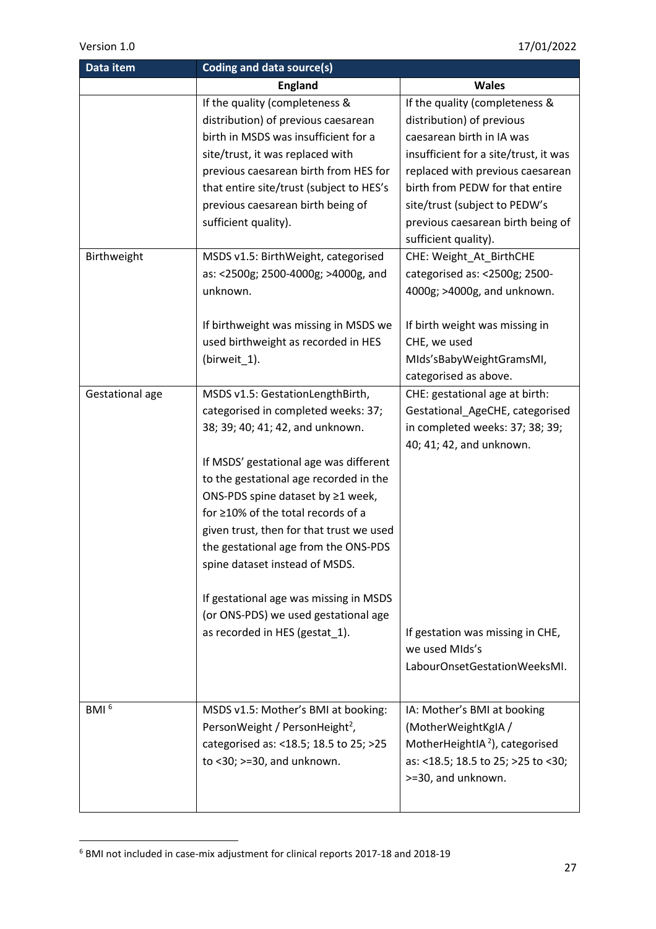| Data item        | Coding and data source(s)                  |                                                    |  |
|------------------|--------------------------------------------|----------------------------------------------------|--|
|                  | <b>England</b>                             | <b>Wales</b>                                       |  |
|                  | If the quality (completeness &             | If the quality (completeness &                     |  |
|                  | distribution) of previous caesarean        | distribution) of previous                          |  |
|                  | birth in MSDS was insufficient for a       | caesarean birth in IA was                          |  |
|                  | site/trust, it was replaced with           | insufficient for a site/trust, it was              |  |
|                  | previous caesarean birth from HES for      | replaced with previous caesarean                   |  |
|                  | that entire site/trust (subject to HES's   | birth from PEDW for that entire                    |  |
|                  | previous caesarean birth being of          | site/trust (subject to PEDW's                      |  |
|                  | sufficient quality).                       | previous caesarean birth being of                  |  |
|                  |                                            | sufficient quality).                               |  |
| Birthweight      | MSDS v1.5: BirthWeight, categorised        | CHE: Weight_At_BirthCHE                            |  |
|                  | as: <2500g; 2500-4000g; >4000g, and        | categorised as: <2500g; 2500-                      |  |
|                  | unknown.                                   | 4000g; >4000g, and unknown.                        |  |
|                  |                                            |                                                    |  |
|                  | If birthweight was missing in MSDS we      | If birth weight was missing in                     |  |
|                  | used birthweight as recorded in HES        | CHE, we used                                       |  |
|                  | (birweit_1).                               | MIds'sBabyWeightGramsMI,                           |  |
|                  |                                            | categorised as above.                              |  |
| Gestational age  | MSDS v1.5: GestationLengthBirth,           | CHE: gestational age at birth:                     |  |
|                  | categorised in completed weeks: 37;        | Gestational_AgeCHE, categorised                    |  |
|                  | 38; 39; 40; 41; 42, and unknown.           | in completed weeks: 37; 38; 39;                    |  |
|                  |                                            | 40; 41; 42, and unknown.                           |  |
|                  | If MSDS' gestational age was different     |                                                    |  |
|                  | to the gestational age recorded in the     |                                                    |  |
|                  | ONS-PDS spine dataset by ≥1 week,          |                                                    |  |
|                  | for ≥10% of the total records of a         |                                                    |  |
|                  | given trust, then for that trust we used   |                                                    |  |
|                  | the gestational age from the ONS-PDS       |                                                    |  |
|                  | spine dataset instead of MSDS.             |                                                    |  |
|                  |                                            |                                                    |  |
|                  | If gestational age was missing in MSDS     |                                                    |  |
|                  | (or ONS-PDS) we used gestational age       |                                                    |  |
|                  | as recorded in HES (gestat_1).             | If gestation was missing in CHE,<br>we used MIds's |  |
|                  |                                            | LabourOnsetGestationWeeksMI.                       |  |
|                  |                                            |                                                    |  |
|                  |                                            |                                                    |  |
| BMI <sup>6</sup> | MSDS v1.5: Mother's BMI at booking:        | IA: Mother's BMI at booking                        |  |
|                  | PersonWeight / PersonHeight <sup>2</sup> , | (MotherWeightKgIA /                                |  |
|                  | categorised as: <18.5; 18.5 to 25; >25     | MotherHeightIA <sup>2</sup> ), categorised         |  |
|                  | to $<$ 30; $>$ =30, and unknown.           | as: <18.5; 18.5 to 25; >25 to <30;                 |  |
|                  |                                            | >=30, and unknown.                                 |  |
|                  |                                            |                                                    |  |
|                  |                                            |                                                    |  |

 $^6$  BMI not included in case-mix adjustment for clinical reports 2017-18 and 2018-19

 $\overline{a}$